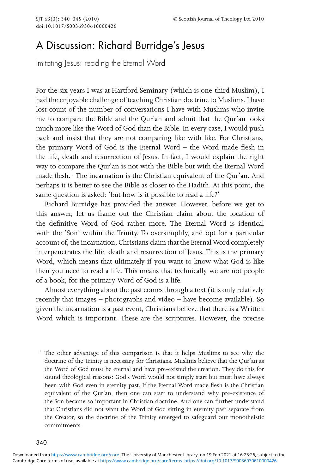## A Discussion: Richard Burridge's Jesus

Imitating Jesus: reading the Eternal Word

For the six years I was at Hartford Seminary (which is one-third Muslim), I had the enjoyable challenge of teaching Christian doctrine to Muslims. I have lost count of the number of conversations I have with Muslims who invite me to compare the Bible and the Qur'an and admit that the Qur'an looks much more like the Word of God than the Bible. In every case, I would push back and insist that they are not comparing like with like. For Christians, the primary Word of God is the Eternal Word – the Word made flesh in the life, death and resurrection of Jesus. In fact, I would explain the right way to compare the Qur'an is not with the Bible but with the Eternal Word made flesh.1 The incarnation is the Christian equivalent of the Qur'an. And perhaps it is better to see the Bible as closer to the Hadith. At this point, the same question is asked: 'but how is it possible to read a life?'

Richard Burridge has provided the answer. However, before we get to this answer, let us frame out the Christian claim about the location of the definitive Word of God rather more. The Eternal Word is identical with the 'Son' within the Trinity. To oversimplify, and opt for a particular account of, the incarnation, Christians claim that the Eternal Word completely interpenetrates the life, death and resurrection of Jesus. This is the primary Word, which means that ultimately if you want to know what God is like then you need to read a life. This means that technically we are not people of a book, for the primary Word of God is a life.

Almost everything about the past comes through a text (it is only relatively recently that images – photographs and video – have become available). So given the incarnation is a past event, Christians believe that there is a Written Word which is important. These are the scriptures. However, the precise

<sup>1</sup> The other advantage of this comparison is that it helps Muslims to see why the doctrine of the Trinity is necessary for Christians. Muslims believe that the Qur'an as the Word of God must be eternal and have pre-existed the creation. They do this for sound theological reasons: God's Word would not simply start but must have always been with God even in eternity past. If the Eternal Word made flesh is the Christian equivalent of the Qur'an, then one can start to understand why pre-existence of the Son became so important in Christian doctrine. And one can further understand that Christians did not want the Word of God sitting in eternity past separate from the Creator, so the doctrine of the Trinity emerged to safeguard our monotheistic commitments.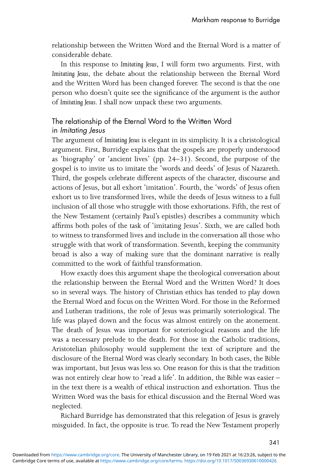relationship between the Written Word and the Eternal Word is a matter of considerable debate.

In this response to *Imitating Jesus*, I will form two arguments. First, with *Imitating Jesus*, the debate about the relationship between the Eternal Word and the Written Word has been changed forever. The second is that the one person who doesn't quite see the significance of the argument is the author of *Imitating Jesus*. I shall now unpack these two arguments.

## The relationship of the Eternal Word to the Written Word in Imitating Jesus

The argument of *Imitating Jesus* is elegant in its simplicity. It is a christological argument. First, Burridge explains that the gospels are properly understood as 'biography' or 'ancient lives' (pp. 24–31). Second, the purpose of the gospel is to invite us to imitate the 'words and deeds' of Jesus of Nazareth. Third, the gospels celebrate different aspects of the character, discourse and actions of Jesus, but all exhort 'imitation'. Fourth, the 'words' of Jesus often exhort us to live transformed lives, while the deeds of Jesus witness to a full inclusion of all those who struggle with those exhortations. Fifth, the rest of the New Testament (certainly Paul's epistles) describes a community which affirms both poles of the task of 'imitating Jesus'. Sixth, we are called both to witness to transformed lives and include in the conversation all those who struggle with that work of transformation. Seventh, keeping the community broad is also a way of making sure that the dominant narrative is really committed to the work of faithful transformation.

How exactly does this argument shape the theological conversation about the relationship between the Eternal Word and the Written Word? It does so in several ways. The history of Christian ethics has tended to play down the Eternal Word and focus on the Written Word. For those in the Reformed and Lutheran traditions, the role of Jesus was primarily soteriological. The life was played down and the focus was almost entirely on the atonement. The death of Jesus was important for soteriological reasons and the life was a necessary prelude to the death. For those in the Catholic traditions, Aristotelian philosophy would supplement the text of scripture and the disclosure of the Eternal Word was clearly secondary. In both cases, the Bible was important, but Jesus was less so. One reason for this is that the tradition was not entirely clear how to 'read a life'. In addition, the Bible was easier – in the text there is a wealth of ethical instruction and exhortation. Thus the Written Word was the basis for ethical discussion and the Eternal Word was neglected.

Richard Burridge has demonstrated that this relegation of Jesus is gravely misguided. In fact, the opposite is true. To read the New Testament properly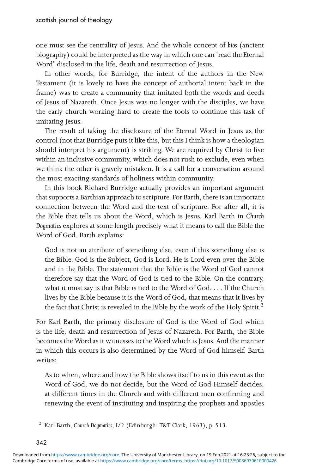one must see the centrality of Jesus. And the whole concept of *bios* (ancient biography) could be interpreted as the way in which one can 'read the Eternal Word' disclosed in the life, death and resurrection of Jesus.

In other words, for Burridge, the intent of the authors in the New Testament (it is lovely to have the concept of authorial intent back in the frame) was to create a community that imitated both the words and deeds of Jesus of Nazareth. Once Jesus was no longer with the disciples, we have the early church working hard to create the tools to continue this task of imitating Jesus.

The result of taking the disclosure of the Eternal Word in Jesus as the control (not that Burridge puts it like this, but this I think is how a theologian should interpret his argument) is striking. We are required by Christ to live within an inclusive community, which does not rush to exclude, even when we think the other is gravely mistaken. It is a call for a conversation around the most exacting standards of holiness within community.

In this book Richard Burridge actually provides an important argument that supports a Barthian approach to scripture. For Barth, there is an important connection between the Word and the text of scripture. For after all, it is the Bible that tells us about the Word, which is Jesus. Karl Barth in *Church Dogmatics* explores at some length precisely what it means to call the Bible the Word of God. Barth explains:

God is not an attribute of something else, even if this something else is the Bible. God is the Subject, God is Lord. He is Lord even over the Bible and in the Bible. The statement that the Bible is the Word of God cannot therefore say that the Word of God is tied to the Bible. On the contrary, what it must say is that Bible is tied to the Word of God. *...* If the Church lives by the Bible because it is the Word of God, that means that it lives by the fact that Christ is revealed in the Bible by the work of the Holy Spirit.<sup>2</sup>

For Karl Barth, the primary disclosure of God is the Word of God which is the life, death and resurrection of Jesus of Nazareth. For Barth, the Bible becomes the Word as it witnesses to the Word which is Jesus. And the manner in which this occurs is also determined by the Word of God himself. Barth writes:

As to when, where and how the Bible shows itself to us in this event as the Word of God, we do not decide, but the Word of God Himself decides, at different times in the Church and with different men confirming and renewing the event of instituting and inspiring the prophets and apostles

<sup>2</sup> Karl Barth, *Church Dogmatics*, I/2 (Edinburgh: T&T Clark, 1963), p. 513.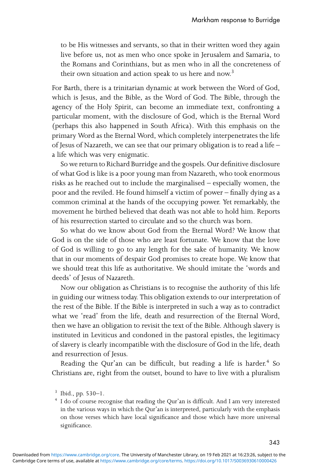to be His witnesses and servants, so that in their written word they again live before us, not as men who once spoke in Jerusalem and Samaria, to the Romans and Corinthians, but as men who in all the concreteness of their own situation and action speak to us here and now.<sup>3</sup>

For Barth, there is a trinitarian dynamic at work between the Word of God, which is Jesus, and the Bible, as the Word of God. The Bible, through the agency of the Holy Spirit, can become an immediate text, confronting a particular moment, with the disclosure of God, which is the Eternal Word (perhaps this also happened in South Africa). With this emphasis on the primary Word as the Eternal Word, which completely interpenetrates the life of Jesus of Nazareth, we can see that our primary obligation is to read a life – a life which was very enigmatic.

So we return to Richard Burridge and the gospels. Our definitive disclosure of what God is like is a poor young man from Nazareth, who took enormous risks as he reached out to include the marginalised – especially women, the poor and the reviled. He found himself a victim of power – finally dying as a common criminal at the hands of the occupying power. Yet remarkably, the movement he birthed believed that death was not able to hold him. Reports of his resurrection started to circulate and so the church was born.

So what do we know about God from the Eternal Word? We know that God is on the side of those who are least fortunate. We know that the love of God is willing to go to any length for the sake of humanity. We know that in our moments of despair God promises to create hope. We know that we should treat this life as authoritative. We should imitate the 'words and deeds' of Jesus of Nazareth.

Now our obligation as Christians is to recognise the authority of this life in guiding our witness today. This obligation extends to our interpretation of the rest of the Bible. If the Bible is interpreted in such a way as to contradict what we 'read' from the life, death and resurrection of the Eternal Word, then we have an obligation to revisit the text of the Bible. Although slavery is instituted in Leviticus and condoned in the pastoral epistles, the legitimacy of slavery is clearly incompatible with the disclosure of God in the life, death and resurrection of Jesus.

Reading the Qur'an can be difficult, but reading a life is harder. $4$  So Christians are, right from the outset, bound to have to live with a pluralism

 $3$  Ibid., pp. 530-1.

<sup>4</sup> I do of course recognise that reading the Qur'an is difficult. And I am very interested in the various ways in which the Qur'an is interpreted, particularly with the emphasis on those verses which have local significance and those which have more universal significance.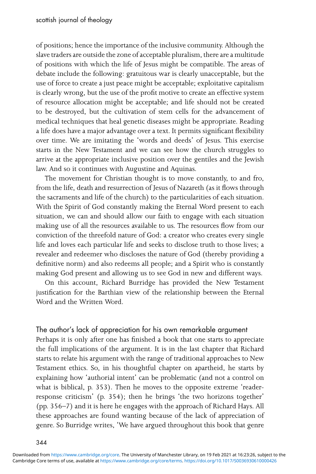of positions; hence the importance of the inclusive community. Although the slave traders are outside the zone of acceptable pluralism, there are a multitude of positions with which the life of Jesus might be compatible. The areas of debate include the following: gratuitous war is clearly unacceptable, but the use of force to create a just peace might be acceptable; exploitative capitalism is clearly wrong, but the use of the profit motive to create an effective system of resource allocation might be acceptable; and life should not be created to be destroyed, but the cultivation of stem cells for the advancement of medical techniques that heal genetic diseases might be appropriate. Reading a life does have a major advantage over a text. It permits significant flexibility over time. We are imitating the 'words and deeds' of Jesus. This exercise starts in the New Testament and we can see how the church struggles to arrive at the appropriate inclusive position over the gentiles and the Jewish law. And so it continues with Augustine and Aquinas.

The movement for Christian thought is to move constantly, to and fro, from the life, death and resurrection of Jesus of Nazareth (as it flows through the sacraments and life of the church) to the particularities of each situation. With the Spirit of God constantly making the Eternal Word present to each situation, we can and should allow our faith to engage with each situation making use of all the resources available to us. The resources flow from our conviction of the threefold nature of God: a creator who creates every single life and loves each particular life and seeks to disclose truth to those lives; a revealer and redeemer who discloses the nature of God (thereby providing a definitive norm) and also redeems all people; and a Spirit who is constantly making God present and allowing us to see God in new and different ways.

On this account, Richard Burridge has provided the New Testament justification for the Barthian view of the relationship between the Eternal Word and the Written Word.

## The author's lack of appreciation for his own remarkable argument

Perhaps it is only after one has finished a book that one starts to appreciate the full implications of the argument. It is in the last chapter that Richard starts to relate his argument with the range of traditional approaches to New Testament ethics. So, in his thoughtful chapter on apartheid, he starts by explaining how 'authorial intent' can be problematic (and not a control on what is biblical, p. 353). Then he moves to the opposite extreme 'readerresponse criticism' (p. 354); then he brings 'the two horizons together' (pp. 356–7) and it is here he engages with the approach of Richard Hays. All these approaches are found wanting because of the lack of appreciation of genre. So Burridge writes, 'We have argued throughout this book that genre